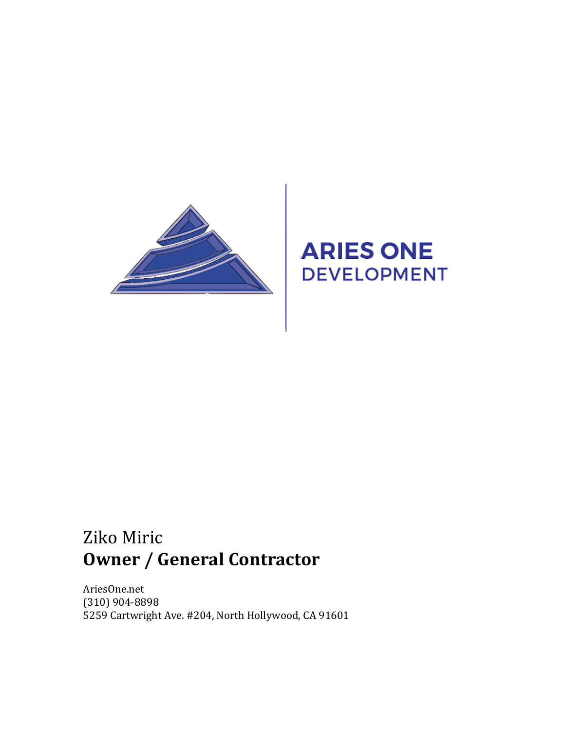

# **ARIES ONE DEVELOPMENT**

## Ziko Miric **Owner / General Contractor**

AriesOne.net (310) 904-8898 5259 Cartwright Ave. #204, North Hollywood, CA 91601